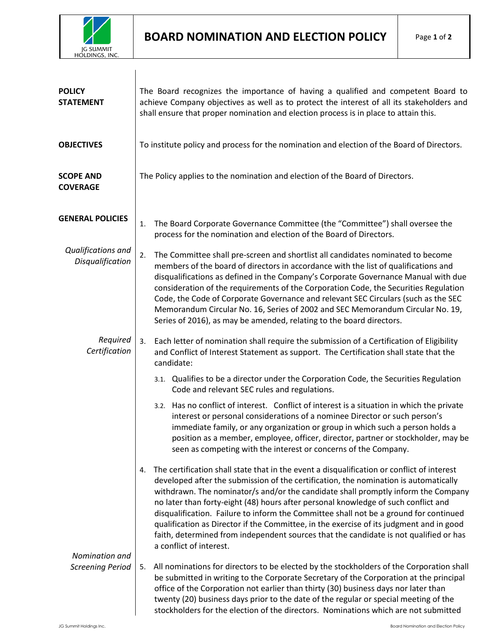

 $\overline{\phantom{a}}$ 

| <b>POLICY</b><br><b>STATEMENT</b>         | The Board recognizes the importance of having a qualified and competent Board to<br>achieve Company objectives as well as to protect the interest of all its stakeholders and<br>shall ensure that proper nomination and election process is in place to attain this.                                                                                                                                                                                                                                                                                                                                                                                                       |
|-------------------------------------------|-----------------------------------------------------------------------------------------------------------------------------------------------------------------------------------------------------------------------------------------------------------------------------------------------------------------------------------------------------------------------------------------------------------------------------------------------------------------------------------------------------------------------------------------------------------------------------------------------------------------------------------------------------------------------------|
| <b>OBJECTIVES</b>                         | To institute policy and process for the nomination and election of the Board of Directors.                                                                                                                                                                                                                                                                                                                                                                                                                                                                                                                                                                                  |
| <b>SCOPE AND</b><br><b>COVERAGE</b>       | The Policy applies to the nomination and election of the Board of Directors.                                                                                                                                                                                                                                                                                                                                                                                                                                                                                                                                                                                                |
| <b>GENERAL POLICIES</b>                   | The Board Corporate Governance Committee (the "Committee") shall oversee the<br>1.<br>process for the nomination and election of the Board of Directors.                                                                                                                                                                                                                                                                                                                                                                                                                                                                                                                    |
| Qualifications and<br>Disqualification    | The Committee shall pre-screen and shortlist all candidates nominated to become<br>2.<br>members of the board of directors in accordance with the list of qualifications and<br>disqualifications as defined in the Company's Corporate Governance Manual with due<br>consideration of the requirements of the Corporation Code, the Securities Regulation<br>Code, the Code of Corporate Governance and relevant SEC Circulars (such as the SEC<br>Memorandum Circular No. 16, Series of 2002 and SEC Memorandum Circular No. 19,<br>Series of 2016), as may be amended, relating to the board directors.                                                                  |
| Required<br>Certification                 | Each letter of nomination shall require the submission of a Certification of Eligibility<br>3.<br>and Conflict of Interest Statement as support. The Certification shall state that the<br>candidate:                                                                                                                                                                                                                                                                                                                                                                                                                                                                       |
|                                           | 3.1. Qualifies to be a director under the Corporation Code, the Securities Regulation<br>Code and relevant SEC rules and regulations.                                                                                                                                                                                                                                                                                                                                                                                                                                                                                                                                       |
|                                           | 3.2. Has no conflict of interest. Conflict of interest is a situation in which the private<br>interest or personal considerations of a nominee Director or such person's<br>immediate family, or any organization or group in which such a person holds a<br>position as a member, employee, officer, director, partner or stockholder, may be<br>seen as competing with the interest or concerns of the Company.                                                                                                                                                                                                                                                           |
|                                           | The certification shall state that in the event a disqualification or conflict of interest<br>4.<br>developed after the submission of the certification, the nomination is automatically<br>withdrawn. The nominator/s and/or the candidate shall promptly inform the Company<br>no later than forty-eight (48) hours after personal knowledge of such conflict and<br>disqualification. Failure to inform the Committee shall not be a ground for continued<br>qualification as Director if the Committee, in the exercise of its judgment and in good<br>faith, determined from independent sources that the candidate is not qualified or has<br>a conflict of interest. |
| Nomination and<br><b>Screening Period</b> | All nominations for directors to be elected by the stockholders of the Corporation shall<br>5.<br>be submitted in writing to the Corporate Secretary of the Corporation at the principal<br>office of the Corporation not earlier than thirty (30) business days nor later than<br>twenty (20) business days prior to the date of the regular or special meeting of the<br>stockholders for the election of the directors. Nominations which are not submitted                                                                                                                                                                                                              |